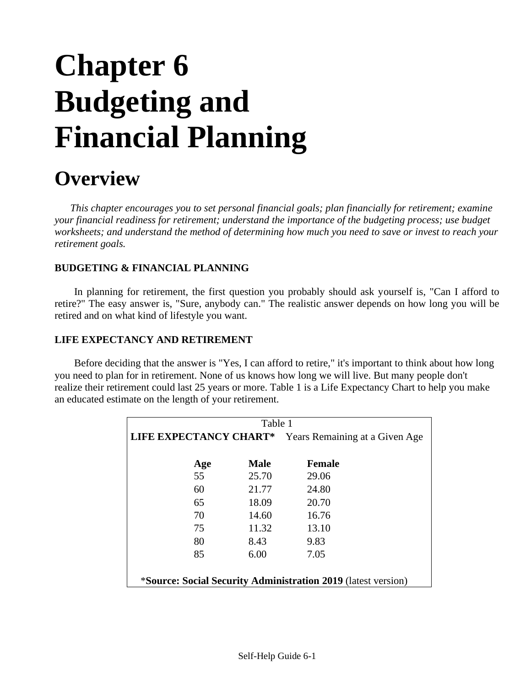# **Chapter 6 Budgeting and Financial Planning**

# **Overview**

*This chapter encourages you to set personal financial goals; plan financially for retirement; examine your financial readiness for retirement; understand the importance of the budgeting process; use budget worksheets; and understand the method of determining how much you need to save or invest to reach your retirement goals.*

### **BUDGETING & FINANCIAL PLANNING**

In planning for retirement, the first question you probably should ask yourself is, "Can I afford to retire?" The easy answer is, "Sure, anybody can." The realistic answer depends on how long you will be retired and on what kind of lifestyle you want.

### **LIFE EXPECTANCY AND RETIREMENT**

Before deciding that the answer is "Yes, I can afford to retire," it's important to think about how long you need to plan for in retirement. None of us knows how long we will live. But many people don't realize their retirement could last 25 years or more. Table 1 is a Life Expectancy Chart to help you make an educated estimate on the length of your retirement.

| Table 1                                                              |             |               |  |  |  |  |
|----------------------------------------------------------------------|-------------|---------------|--|--|--|--|
| <b>LIFE EXPECTANCY CHART*</b><br>Years Remaining at a Given Age      |             |               |  |  |  |  |
|                                                                      | <b>Male</b> | <b>Female</b> |  |  |  |  |
| Age<br>55                                                            | 25.70       | 29.06         |  |  |  |  |
| 60                                                                   | 21.77       | 24.80         |  |  |  |  |
| 65                                                                   | 18.09       | 20.70         |  |  |  |  |
| 70                                                                   | 14.60       | 16.76         |  |  |  |  |
| 75                                                                   | 11.32       | 13.10         |  |  |  |  |
| 80                                                                   | 8.43        | 9.83          |  |  |  |  |
| 85                                                                   | 6.00        | 7.05          |  |  |  |  |
|                                                                      |             |               |  |  |  |  |
| <i>*Source: Social Security Administration 2019 (latest version)</i> |             |               |  |  |  |  |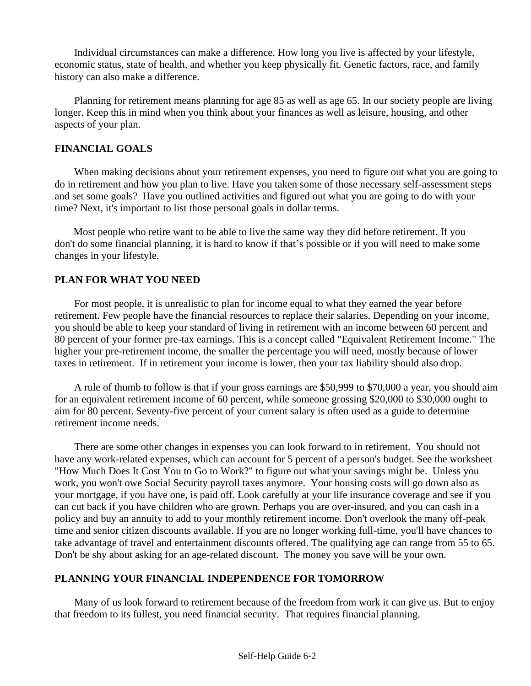Individual circumstances can make a difference. How long you live is affected by your lifestyle, economic status, state of health, and whether you keep physically fit. Genetic factors, race, and family history can also make a difference.

Planning for retirement means planning for age 85 as well as age 65. In our society people are living longer. Keep this in mind when you think about your finances as well as leisure, housing, and other aspects of your plan.

### **FINANCIAL GOALS**

When making decisions about your retirement expenses, you need to figure out what you are going to do in retirement and how you plan to live. Have you taken some of those necessary self-assessment steps and set some goals? Have you outlined activities and figured out what you are going to do with your time? Next, it's important to list those personal goals in dollar terms.

Most people who retire want to be able to live the same way they did before retirement. If you don't do some financial planning, it is hard to know if that's possible or if you will need to make some changes in your lifestyle.

### **PLAN FOR WHAT YOU NEED**

For most people, it is unrealistic to plan for income equal to what they earned the year before retirement. Few people have the financial resources to replace their salaries. Depending on your income, you should be able to keep your standard of living in retirement with an income between 60 percent and 80 percent of your former pre-tax earnings. This is a concept called "Equivalent Retirement Income." The higher your pre-retirement income, the smaller the percentage you will need, mostly because of lower taxes in retirement. If in retirement your income is lower, then your tax liability should also drop.

A rule of thumb to follow is that if your gross earnings are \$50,999 to \$70,000 a year, you should aim for an equivalent retirement income of 60 percent, while someone grossing \$20,000 to \$30,000 ought to aim for 80 percent. Seventy-five percent of your current salary is often used as a guide to determine retirement income needs.

There are some other changes in expenses you can look forward to in retirement. You should not have any work-related expenses, which can account for 5 percent of a person's budget. See the worksheet "How Much Does It Cost You to Go to Work?" to figure out what your savings might be. Unless you work, you won't owe Social Security payroll taxes anymore. Your housing costs will go down also as your mortgage, if you have one, is paid off. Look carefully at your life insurance coverage and see if you can cut back if you have children who are grown. Perhaps you are over-insured, and you can cash in a policy and buy an annuity to add to your monthly retirement income. Don't overlook the many off-peak time and senior citizen discounts available. If you are no longer working full-time, you'll have chances to take advantage of travel and entertainment discounts offered. The qualifying age can range from 55 to 65. Don't be shy about asking for an age-related discount. The money you save will be your own.

### **PLANNING YOUR FINANCIAL INDEPENDENCE FOR TOMORROW**

Many of us look forward to retirement because of the freedom from work it can give us. But to enjoy that freedom to its fullest, you need financial security. That requires financial planning.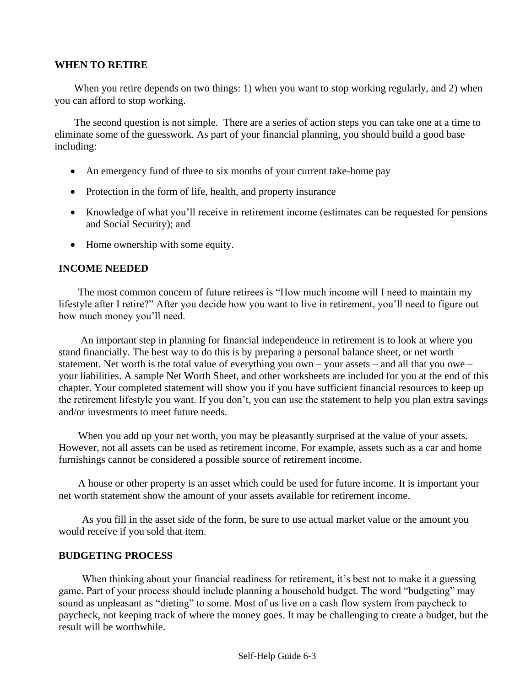### **WHEN TO RETIRE**

When you retire depends on two things: 1) when you want to stop working regularly, and 2) when you can afford to stop working.

The second question is not simple. There are a series of action steps you can take one at a time to eliminate some of the guesswork. As part of your financial planning, you should build a good base including:

- An emergency fund of three to six months of your current take-home pay
- Protection in the form of life, health, and property insurance
- Knowledge of what you'll receive in retirement income (estimates can be requested for pensions and Social Security); and
- Home ownership with some equity.

#### **INCOME NEEDED**

The most common concern of future retirees is "How much income will I need to maintain my lifestyle after I retire?" After you decide how you want to live in retirement, you'll need to figure out how much money you'll need.

An important step in planning for financial independence in retirement is to look at where you stand financially. The best way to do this is by preparing a personal balance sheet, or net worth statement. Net worth is the total value of everything you own – your assets – and all that you owe – your liabilities. A sample Net Worth Sheet, and other worksheets are included for you at the end of this chapter. Your completed statement will show you if you have sufficient financial resources to keep up the retirement lifestyle you want. If you don't, you can use the statement to help you plan extra savings and/or investments to meet future needs.

When you add up your net worth, you may be pleasantly surprised at the value of your assets. However, not all assets can be used as retirement income. For example, assets such as a car and home furnishings cannot be considered a possible source of retirement income.

A house or other property is an asset which could be used for future income. It is important your net worth statement show the amount of your assets available for retirement income.

As you fill in the asset side of the form, be sure to use actual market value or the amount you would receive if you sold that item.

#### **BUDGETING PROCESS**

When thinking about your financial readiness for retirement, it's best not to make it a guessing game. Part of your process should include planning a household budget. The word "budgeting" may sound as unpleasant as "dieting" to some. Most of us live on a cash flow system from paycheck to paycheck, not keeping track of where the money goes. It may be challenging to create a budget, but the result will be worthwhile.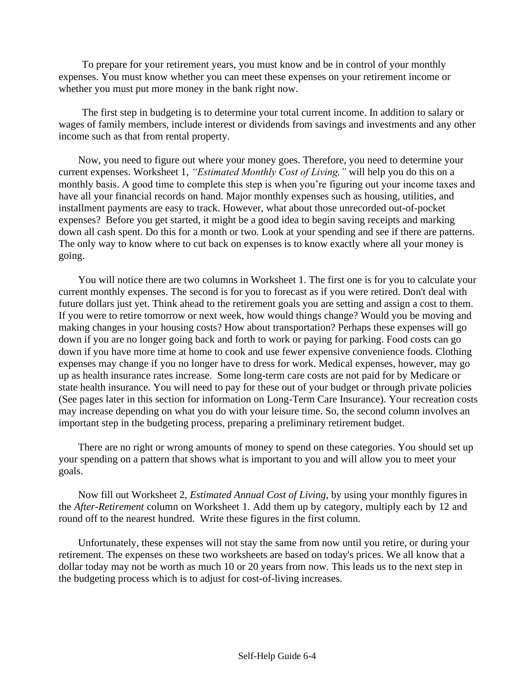To prepare for your retirement years, you must know and be in control of your monthly expenses. You must know whether you can meet these expenses on your retirement income or whether you must put more money in the bank right now.

The first step in budgeting is to determine your total current income. In addition to salary or wages of family members, include interest or dividends from savings and investments and any other income such as that from rental property.

Now, you need to figure out where your money goes. Therefore, you need to determine your current expenses. Worksheet 1, *"Estimated Monthly Cost of Living,"* will help you do this on a monthly basis. A good time to complete this step is when you're figuring out your income taxes and have all your financial records on hand. Major monthly expenses such as housing, utilities, and installment payments are easy to track. However, what about those unrecorded out-of-pocket expenses? Before you get started, it might be a good idea to begin saving receipts and marking down all cash spent. Do this for a month or two. Look at your spending and see if there are patterns. The only way to know where to cut back on expenses is to know exactly where all your money is going.

You will notice there are two columns in Worksheet 1. The first one is for you to calculate your current monthly expenses. The second is for you to forecast as if you were retired. Don't deal with future dollars just yet. Think ahead to the retirement goals you are setting and assign a cost to them. If you were to retire tomorrow or next week, how would things change? Would you be moving and making changes in your housing costs? How about transportation? Perhaps these expenses will go down if you are no longer going back and forth to work or paying for parking. Food costs can go down if you have more time at home to cook and use fewer expensive convenience foods. Clothing expenses may change if you no longer have to dress for work. Medical expenses, however, may go up as health insurance rates increase. Some long-term care costs are not paid for by Medicare or state health insurance. You will need to pay for these out of your budget or through private policies (See pages later in this section for information on Long-Term Care Insurance). Your recreation costs may increase depending on what you do with your leisure time. So, the second column involves an important step in the budgeting process, preparing a preliminary retirement budget.

There are no right or wrong amounts of money to spend on these categories. You should set up your spending on a pattern that shows what is important to you and will allow you to meet your goals.

Now fill out Worksheet 2, *Estimated Annual Cost of Living,* by using your monthly figuresin the *After-Retirement* column on Worksheet 1. Add them up by category, multiply each by 12 and round off to the nearest hundred. Write these figures in the first column.

Unfortunately, these expenses will not stay the same from now until you retire, or during your retirement. The expenses on these two worksheets are based on today's prices. We all know that a dollar today may not be worth as much 10 or 20 years from now. This leads us to the next step in the budgeting process which is to adjust for cost-of-living increases.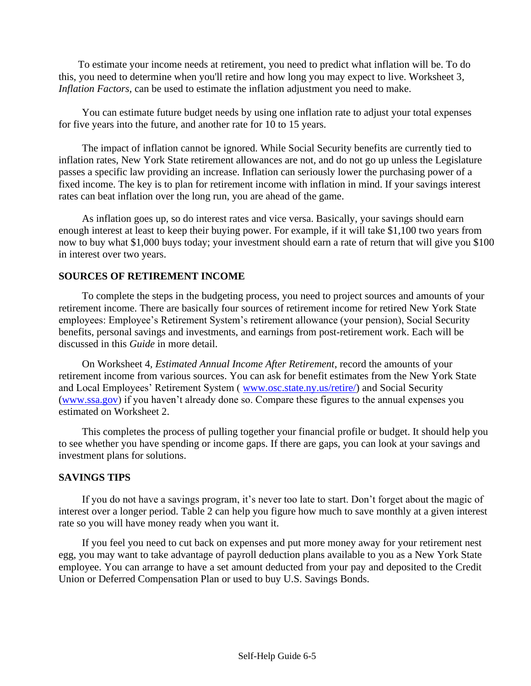To estimate your income needs at retirement, you need to predict what inflation will be. To do this, you need to determine when you'll retire and how long you may expect to live. Worksheet 3*, Inflation Factors,* can be used to estimate the inflation adjustment you need to make.

You can estimate future budget needs by using one inflation rate to adjust your total expenses for five years into the future, and another rate for 10 to 15 years.

The impact of inflation cannot be ignored. While Social Security benefits are currently tied to inflation rates, New York State retirement allowances are not, and do not go up unless the Legislature passes a specific law providing an increase. Inflation can seriously lower the purchasing power of a fixed income. The key is to plan for retirement income with inflation in mind. If your savings interest rates can beat inflation over the long run, you are ahead of the game.

As inflation goes up, so do interest rates and vice versa. Basically, your savings should earn enough interest at least to keep their buying power. For example, if it will take \$1,100 two years from now to buy what \$1,000 buys today; your investment should earn a rate of return that will give you \$100 in interest over two years.

### **SOURCES OF RETIREMENT INCOME**

To complete the steps in the budgeting process, you need to project sources and amounts of your retirement income. There are basically four sources of retirement income for retired New York State employees: Employee's Retirement System's retirement allowance (your pension), Social Security benefits, personal savings and investments, and earnings from post-retirement work. Each will be discussed in this *Guide* in more detail.

On Worksheet 4*, Estimated Annual Income After Retirement*, record the amounts of your retirement income from various sources. You can ask for benefit estimates from the New York State and Local Employees' Retirement System ( [www.osc.state.ny.us/retire/\)](http://www.osc.state.ny.us/retire/) and Social Security [\(www.ssa.gov\)](http://www.ssa.gov/) if you haven't already done so. Compare these figures to the annual expenses you estimated on Worksheet 2.

This completes the process of pulling together your financial profile or budget. It should help you to see whether you have spending or income gaps. If there are gaps, you can look at your savings and investment plans for solutions.

### **SAVINGS TIPS**

If you do not have a savings program, it's never too late to start. Don't forget about the magic of interest over a longer period. Table 2 can help you figure how much to save monthly at a given interest rate so you will have money ready when you want it.

If you feel you need to cut back on expenses and put more money away for your retirement nest egg, you may want to take advantage of payroll deduction plans available to you as a New York State employee. You can arrange to have a set amount deducted from your pay and deposited to the Credit Union or Deferred Compensation Plan or used to buy U.S. Savings Bonds.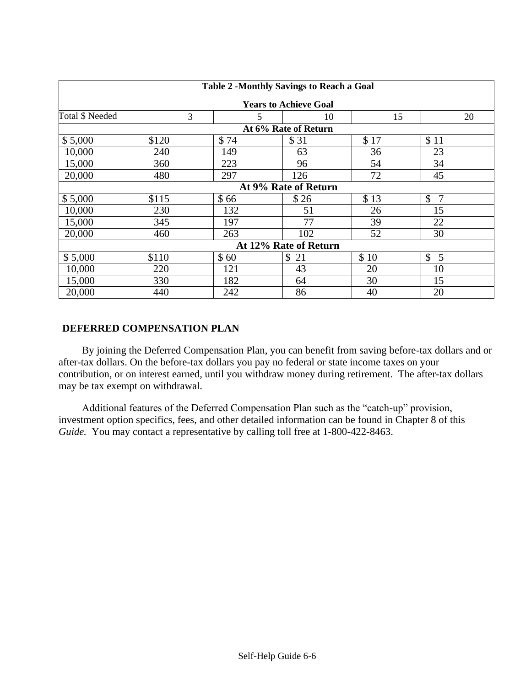| <b>Table 2 -Monthly Savings to Reach a Goal</b> |                              |                     |          |      |         |  |  |  |  |  |
|-------------------------------------------------|------------------------------|---------------------|----------|------|---------|--|--|--|--|--|
|                                                 | <b>Years to Achieve Goal</b> |                     |          |      |         |  |  |  |  |  |
| Total \$ Needed                                 | 3                            | 5<br>20<br>15<br>10 |          |      |         |  |  |  |  |  |
|                                                 | At 6% Rate of Return         |                     |          |      |         |  |  |  |  |  |
| \$5,000                                         | \$120                        | \$74                | \$31     | \$17 | \$11    |  |  |  |  |  |
| 10,000                                          | 240                          | 149                 | 63       | 36   | 23      |  |  |  |  |  |
| 15,000                                          | 360                          | 223                 | 96       | 54   | 34      |  |  |  |  |  |
| 20,000                                          | 480                          | 297                 | 126      | 72   | 45      |  |  |  |  |  |
|                                                 | At 9% Rate of Return         |                     |          |      |         |  |  |  |  |  |
| \$5,000                                         | \$115                        | \$66                | \$26     | \$13 | \$<br>7 |  |  |  |  |  |
| 10,000                                          | 230                          | 132                 | 51       | 26   | 15      |  |  |  |  |  |
| 15,000                                          | 345                          | 197                 | 77       | 39   | 22      |  |  |  |  |  |
| 20,000                                          | 460                          | 263                 | 102      | 52   | 30      |  |  |  |  |  |
| At 12% Rate of Return                           |                              |                     |          |      |         |  |  |  |  |  |
| \$5,000                                         | \$110                        | \$60                | \$<br>21 | \$10 | \$<br>5 |  |  |  |  |  |
| 10,000                                          | 220                          | 121                 | 43       | 20   | 10      |  |  |  |  |  |
| 15,000                                          | 330                          | 182                 | 64       | 30   | 15      |  |  |  |  |  |
| 20,000                                          | 440                          | 242                 | 86       | 40   | 20      |  |  |  |  |  |

### **DEFERRED COMPENSATION PLAN**

By joining the Deferred Compensation Plan, you can benefit from saving before-tax dollars and or after-tax dollars. On the before-tax dollars you pay no federal or state income taxes on your contribution, or on interest earned, until you withdraw money during retirement. The after-tax dollars may be tax exempt on withdrawal.

Additional features of the Deferred Compensation Plan such as the "catch-up" provision, investment option specifics, fees, and other detailed information can be found in Chapter 8 of this *Guide.* You may contact a representative by calling toll free at 1-800-422-8463.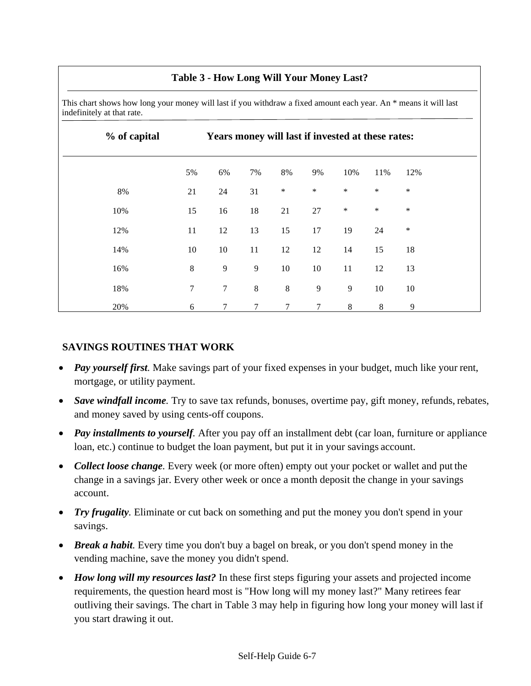### **Table 3 - How Long Will Your Money Last?**

This chart shows how long your money will last if you withdraw a fixed amount each year. An \* means it will last indefinitely at that rate.

| % of capital | Years money will last if invested at these rates: |                  |         |         |        |         |        |        |
|--------------|---------------------------------------------------|------------------|---------|---------|--------|---------|--------|--------|
|              | 5%                                                | 6%               | 7%      | 8%      | 9%     | 10%     | 11%    | 12%    |
| 8%           | 21                                                | 24               | 31      | $\ast$  | $\ast$ | $\ast$  | $\ast$ | $\ast$ |
| 10%          | 15                                                | 16               | 18      | 21      | 27     | $\ast$  | $\ast$ | $\ast$ |
| 12%          | 11                                                | 12               | 13      | 15      | 17     | 19      | 24     | $\ast$ |
| 14%          | 10                                                | $10\,$           | 11      | 12      | 12     | 14      | 15     | 18     |
| 16%          | $\,8\,$                                           | 9                | 9       | 10      | $10\,$ | 11      | 12     | 13     |
| 18%          | 7                                                 | $\boldsymbol{7}$ | $\,8\,$ | $\,8\,$ | 9      | 9       | 10     | 10     |
| 20%          | 6                                                 | 7                | $\tau$  | 7       | $\tau$ | $\,8\,$ | 8      | 9      |

### **SAVINGS ROUTINES THAT WORK**

- *Pay yourself first*. Make savings part of your fixed expenses in your budget, much like your rent, mortgage, or utility payment.
- *Save windfall income*. Try to save tax refunds, bonuses, overtime pay, gift money, refunds, rebates, and money saved by using cents-off coupons.
- *Pay installments to yourself.* After you pay off an installment debt (car loan, furniture or appliance loan, etc.) continue to budget the loan payment, but put it in your savings account.
- *Collect loose change*. Every week (or more often) empty out your pocket or wallet and put the change in a savings jar. Every other week or once a month deposit the change in your savings account.
- *Try frugality*. Eliminate or cut back on something and put the money you don't spend in your savings.
- *Break a habit*. Every time you don't buy a bagel on break, or you don't spend money in the vending machine, save the money you didn't spend.
- *How long will my resources last?* In these first steps figuring your assets and projected income requirements, the question heard most is "How long will my money last?" Many retirees fear outliving their savings. The chart in Table 3 may help in figuring how long your money will last if you start drawing it out.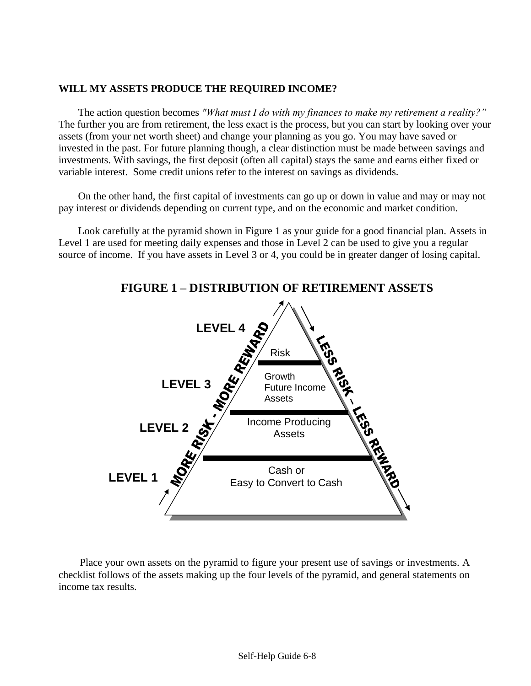### **WILL MY ASSETS PRODUCE THE REQUIRED INCOME?**

The action question becomes *"What must I do with my finances to make my retirement a reality?"*  The further you are from retirement, the less exact is the process, but you can start by looking over your assets (from your net worth sheet) and change your planning as you go. You may have saved or invested in the past. For future planning though, a clear distinction must be made between savings and investments. With savings, the first deposit (often all capital) stays the same and earns either fixed or variable interest. Some credit unions refer to the interest on savings as dividends.

On the other hand, the first capital of investments can go up or down in value and may or may not pay interest or dividends depending on current type, and on the economic and market condition.

Look carefully at the pyramid shown in Figure 1 as your guide for a good financial plan. Assets in Level 1 are used for meeting daily expenses and those in Level 2 can be used to give you a regular source of income. If you have assets in Level 3 or 4, you could be in greater danger of losing capital.



### **FIGURE 1 – DISTRIBUTION OF RETIREMENT ASSETS**

Place your own assets on the pyramid to figure your present use of savings or investments. A checklist follows of the assets making up the four levels of the pyramid, and general statements on income tax results.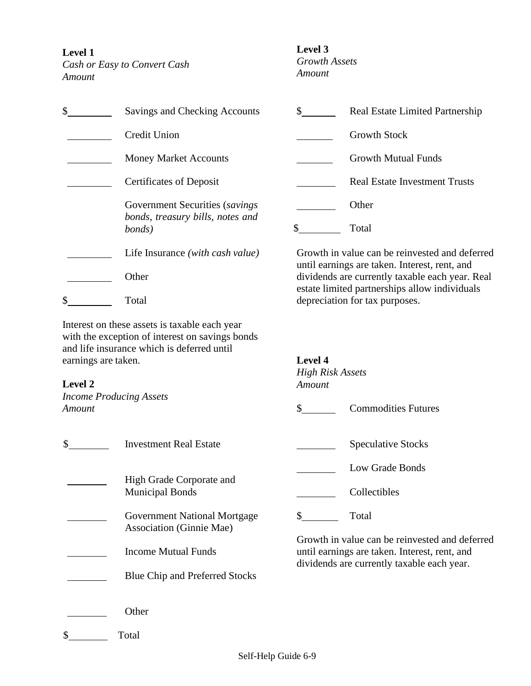**Level 1**

*Cash or Easy to Convert Cash Amount*

#### **Level 3**

*Growth Assets Amount*

| \$                             | Savings and Checking Accounts                                                                                                                  | \$                      | <b>Real Estate Limited Partnership</b>                                                           |
|--------------------------------|------------------------------------------------------------------------------------------------------------------------------------------------|-------------------------|--------------------------------------------------------------------------------------------------|
|                                | <b>Credit Union</b>                                                                                                                            |                         | <b>Growth Stock</b>                                                                              |
|                                | <b>Money Market Accounts</b>                                                                                                                   |                         | <b>Growth Mutual Funds</b>                                                                       |
|                                | <b>Certificates of Deposit</b>                                                                                                                 |                         | <b>Real Estate Investment Trusts</b>                                                             |
|                                | Government Securities (savings)<br>bonds, treasury bills, notes and                                                                            |                         | Other                                                                                            |
|                                | bonds)                                                                                                                                         | $\mathbb{S}$            | Total                                                                                            |
|                                | Life Insurance (with cash value)                                                                                                               |                         | Growth in value can be reinvested and deferred<br>until earnings are taken. Interest, rent, and  |
|                                | Other                                                                                                                                          |                         | dividends are currently taxable each year. Real<br>estate limited partnerships allow individuals |
| \$                             | Total                                                                                                                                          |                         | depreciation for tax purposes.                                                                   |
|                                | Interest on these assets is taxable each year<br>with the exception of interest on savings bonds<br>and life insurance which is deferred until |                         |                                                                                                  |
| earnings are taken.            |                                                                                                                                                | Level 4                 |                                                                                                  |
|                                |                                                                                                                                                | <b>High Risk Assets</b> |                                                                                                  |
| Level 2                        |                                                                                                                                                | Amount                  |                                                                                                  |
| <b>Income Producing Assets</b> |                                                                                                                                                |                         |                                                                                                  |
| Amount                         |                                                                                                                                                | $\mathbb{S}$            | <b>Commodities Futures</b>                                                                       |
| \$                             | <b>Investment Real Estate</b>                                                                                                                  |                         | <b>Speculative Stocks</b>                                                                        |

Low Grade Bonds

Municipal Bonds Collectibles

\$ Total

Growth in value can be reinvested and deferred until earnings are taken. Interest, rent, and dividends are currently taxable each year.

**Other** 

High Grade Corporate and

Association (Ginnie Mae)

Income Mutual Funds

Government National Mortgage

Blue Chip and Preferred Stocks

\$ Total

 $\mathcal{L}_{\text{max}}$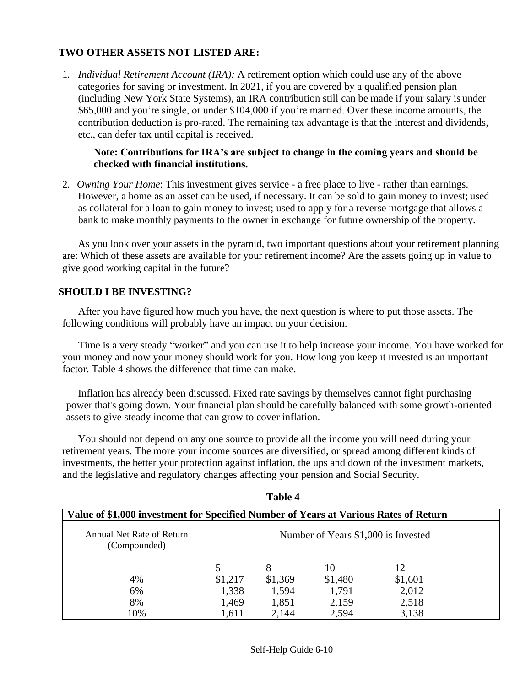### **TWO OTHER ASSETS NOT LISTED ARE:**

1. *Individual Retirement Account (IRA):* A retirement option which could use any of the above categories for saving or investment. In 2021, if you are covered by a qualified pension plan (including New York State Systems), an IRA contribution still can be made if your salary is under \$65,000 and you're single, or under \$104,000 if you're married. Over these income amounts, the contribution deduction is pro-rated. The remaining tax advantage is that the interest and dividends, etc., can defer tax until capital is received.

### **Note: Contributions for IRA's are subject to change in the coming years and should be checked with financial institutions.**

2. *Owning Your Home*: This investment gives service - a free place to live - rather than earnings. However, a home as an asset can be used, if necessary. It can be sold to gain money to invest; used as collateral for a loan to gain money to invest; used to apply for a reverse mortgage that allows a bank to make monthly payments to the owner in exchange for future ownership of the property.

As you look over your assets in the pyramid, two important questions about your retirement planning are: Which of these assets are available for your retirement income? Are the assets going up in value to give good working capital in the future?

### **SHOULD I BE INVESTING?**

After you have figured how much you have, the next question is where to put those assets. The following conditions will probably have an impact on your decision.

Time is a very steady "worker" and you can use it to help increase your income. You have worked for your money and now your money should work for you. How long you keep it invested is an important factor. Table 4 shows the difference that time can make.

Inflation has already been discussed. Fixed rate savings by themselves cannot fight purchasing power that's going down. Your financial plan should be carefully balanced with some growth-oriented assets to give steady income that can grow to cover inflation.

You should not depend on any one source to provide all the income you will need during your retirement years. The more your income sources are diversified, or spread among different kinds of investments, the better your protection against inflation, the ups and down of the investment markets, and the legislative and regulatory changes affecting your pension and Social Security.

| Value of \$1,000 investment for Specified Number of Years at Various Rates of Return |                                     |         |         |         |  |  |  |  |
|--------------------------------------------------------------------------------------|-------------------------------------|---------|---------|---------|--|--|--|--|
| Annual Net Rate of Return<br>(Compounded)                                            | Number of Years \$1,000 is Invested |         |         |         |  |  |  |  |
|                                                                                      |                                     |         | 10      | 12      |  |  |  |  |
| 4%                                                                                   | \$1,217                             | \$1,369 | \$1,480 | \$1,601 |  |  |  |  |
| 6%                                                                                   | 1,338                               | 1,594   | 1,791   | 2,012   |  |  |  |  |
| 8%                                                                                   | 1,469                               | 1,851   | 2,159   | 2,518   |  |  |  |  |
| 10%                                                                                  | 1,611                               | 2,144   | 2,594   | 3,138   |  |  |  |  |

### **Table 4**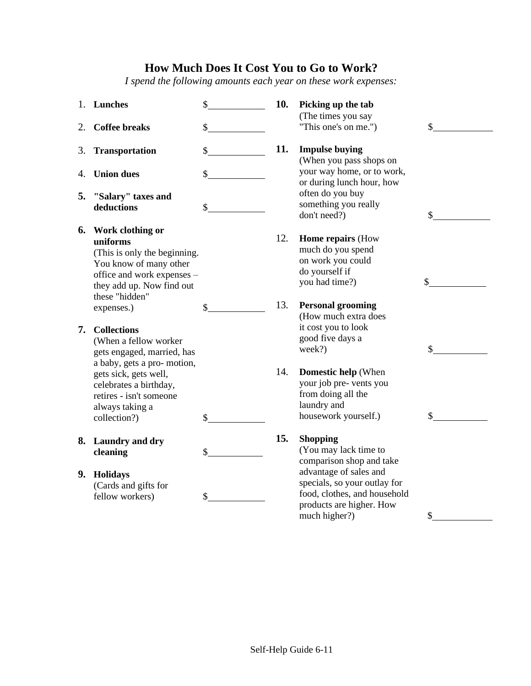### **How Much Does It Cost You to Go to Work?**

 *I spend the following amounts each year on these work expenses:*

|    | 1. Lunches                                                                                                                                                          | \$<br>10. | Picking up the tab<br>(The times you say                                                                                            |              |
|----|---------------------------------------------------------------------------------------------------------------------------------------------------------------------|-----------|-------------------------------------------------------------------------------------------------------------------------------------|--------------|
| 2. | <b>Coffee breaks</b>                                                                                                                                                | \$        | "This one's on me.")                                                                                                                | \$           |
| 3. | <b>Transportation</b>                                                                                                                                               | \$<br>11. | <b>Impulse buying</b><br>(When you pass shops on                                                                                    |              |
| 4. | <b>Union dues</b>                                                                                                                                                   | \$        | your way home, or to work,<br>or during lunch hour, how                                                                             |              |
| 5. | "Salary" taxes and<br>deductions                                                                                                                                    | \$        | often do you buy<br>something you really<br>don't need?)                                                                            | \$           |
| 6. | Work clothing or<br>uniforms<br>(This is only the beginning.<br>You know of many other<br>office and work expenses -<br>they add up. Now find out<br>these "hidden" | 12.       | <b>Home repairs (How</b><br>much do you spend<br>on work you could<br>do yourself if<br>you had time?)                              | \$           |
|    | expenses.)                                                                                                                                                          | \$<br>13. | <b>Personal grooming</b><br>(How much extra does                                                                                    |              |
| 7. | <b>Collections</b><br>(When a fellow worker<br>gets engaged, married, has<br>a baby, gets a pro- motion,                                                            |           | it cost you to look<br>good five days a<br>week?)                                                                                   | \$           |
|    | gets sick, gets well,<br>celebrates a birthday,<br>retires - isn't someone<br>always taking a<br>collection?)                                                       | \$<br>14. | <b>Domestic help</b> (When<br>your job pre- vents you<br>from doing all the<br>laundry and<br>housework yourself.)                  | $\mathbb{S}$ |
|    | 8. Laundry and dry<br>cleaning                                                                                                                                      | \$<br>15. | <b>Shopping</b><br>(You may lack time to<br>comparison shop and take                                                                |              |
|    | 9. Holidays<br>(Cards and gifts for<br>fellow workers)                                                                                                              | \$        | advantage of sales and<br>specials, so your outlay for<br>food, clothes, and household<br>products are higher. How<br>much higher?) | \$           |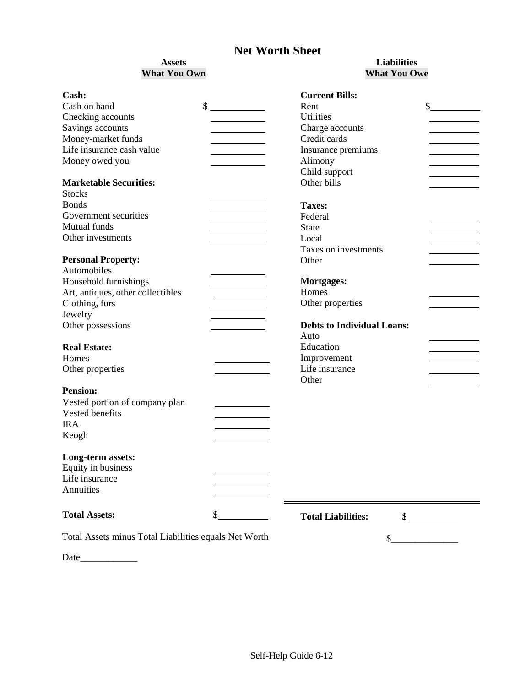### **Net Worth Sheet**

### **Assets What You Own**

### **Liabilities What You Owe**

| Cash:                                                 | <b>Current Bills:</b>                     |
|-------------------------------------------------------|-------------------------------------------|
| Cash on hand                                          | \$<br>\$<br>Rent                          |
| Checking accounts                                     | <b>Utilities</b>                          |
| Savings accounts                                      | Charge accounts                           |
| Money-market funds                                    | Credit cards                              |
| Life insurance cash value                             | Insurance premiums                        |
| Money owed you                                        | Alimony                                   |
|                                                       | Child support                             |
| <b>Marketable Securities:</b>                         | Other bills                               |
| <b>Stocks</b>                                         |                                           |
| <b>Bonds</b>                                          | <b>Taxes:</b>                             |
| Government securities                                 | Federal                                   |
| Mutual funds                                          | <b>State</b>                              |
| Other investments                                     | Local                                     |
|                                                       | Taxes on investments                      |
| <b>Personal Property:</b>                             | Other                                     |
| Automobiles                                           |                                           |
| Household furnishings                                 | <b>Mortgages:</b>                         |
| Art, antiques, other collectibles                     | Homes                                     |
| Clothing, furs                                        | Other properties                          |
| Jewelry                                               |                                           |
| Other possessions                                     | <b>Debts to Individual Loans:</b>         |
|                                                       | Auto                                      |
| <b>Real Estate:</b>                                   | Education                                 |
| Homes                                                 |                                           |
|                                                       | Improvement<br>Life insurance             |
| Other properties                                      | Other                                     |
| <b>Pension:</b>                                       |                                           |
| Vested portion of company plan                        |                                           |
| Vested benefits                                       |                                           |
| <b>IRA</b>                                            |                                           |
|                                                       |                                           |
| Keogh                                                 |                                           |
| Long-term assets:                                     |                                           |
| Equity in business                                    |                                           |
| Life insurance                                        |                                           |
| Annuities                                             |                                           |
|                                                       |                                           |
| <b>Total Assets:</b>                                  | \$<br><b>Total Liabilities:</b><br>$\sim$ |
| Total Assets minus Total Liabilities equals Net Worth |                                           |
|                                                       | \$                                        |
| Date                                                  |                                           |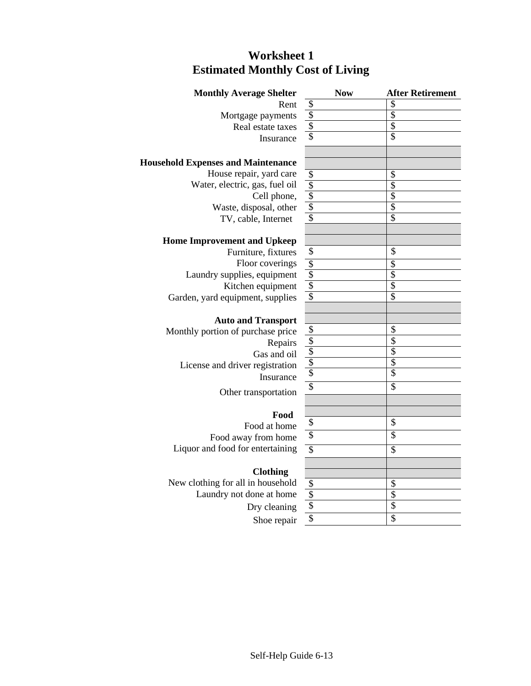### **Worksheet 1 Estimated Monthly Cost of Living**

| $\boldsymbol{\mathsf{S}}$<br>\$<br>Rent<br>$\overline{\mathcal{L}}$<br>$\overline{\mathcal{S}}$<br>Mortgage payments<br>\$<br>$\overline{\$}$<br>Real estate taxes<br>\$<br>\$<br>Insurance<br><b>Household Expenses and Maintenance</b><br>House repair, yard care<br>$\overline{\mathcal{S}}$<br>\$<br>Water, electric, gas, fuel oil<br>$\overline{\$}$<br>\$<br>$\boldsymbol{\mathsf{S}}$<br>$\overline{\mathcal{S}}$<br>Cell phone,<br>\$<br>\$<br>Waste, disposal, other<br>$\overline{\$}$<br>$\overline{\mathbb{S}}$<br>TV, cable, Internet<br><b>Home Improvement and Upkeep</b><br>\$<br>\$<br>Furniture, fixtures<br>Floor coverings<br>\$<br>\$<br>$\overline{\$}$<br>$\overline{\mathcal{S}}$<br>Laundry supplies, equipment<br>$\overline{\$}$<br>$\overline{\$}$<br>Kitchen equipment<br>$\overline{\$}$<br>\$<br>Garden, yard equipment, supplies<br><b>Auto and Transport</b><br>\$<br>\$<br>Monthly portion of purchase price<br>$\overline{\mathcal{S}}$<br>\$<br>Repairs<br>$\overline{\mathbb{S}}$<br>\$<br>Gas and oil<br>\$<br>\$<br>License and driver registration<br>\$<br>$\overline{\$}$<br>Insurance<br>\$<br>\$<br>Other transportation<br>Food<br>\$<br>\$<br>Food at home<br>\$<br>\$<br>Food away from home<br>Liquor and food for entertaining<br>$\overline{\mathcal{S}}$<br>\$<br><b>Clothing</b><br>New clothing for all in household<br>\$<br>\$<br>$\overline{\$}$<br>\$<br>Laundry not done at home<br>$\overline{\$}$<br>\$<br>Dry cleaning<br>\$<br>\$<br>Shoe repair | <b>Monthly Average Shelter</b> | <b>Now</b> | <b>After Retirement</b> |
|-----------------------------------------------------------------------------------------------------------------------------------------------------------------------------------------------------------------------------------------------------------------------------------------------------------------------------------------------------------------------------------------------------------------------------------------------------------------------------------------------------------------------------------------------------------------------------------------------------------------------------------------------------------------------------------------------------------------------------------------------------------------------------------------------------------------------------------------------------------------------------------------------------------------------------------------------------------------------------------------------------------------------------------------------------------------------------------------------------------------------------------------------------------------------------------------------------------------------------------------------------------------------------------------------------------------------------------------------------------------------------------------------------------------------------------------------------------------------------------------------------------------|--------------------------------|------------|-------------------------|
|                                                                                                                                                                                                                                                                                                                                                                                                                                                                                                                                                                                                                                                                                                                                                                                                                                                                                                                                                                                                                                                                                                                                                                                                                                                                                                                                                                                                                                                                                                                 |                                |            |                         |
|                                                                                                                                                                                                                                                                                                                                                                                                                                                                                                                                                                                                                                                                                                                                                                                                                                                                                                                                                                                                                                                                                                                                                                                                                                                                                                                                                                                                                                                                                                                 |                                |            |                         |
|                                                                                                                                                                                                                                                                                                                                                                                                                                                                                                                                                                                                                                                                                                                                                                                                                                                                                                                                                                                                                                                                                                                                                                                                                                                                                                                                                                                                                                                                                                                 |                                |            |                         |
|                                                                                                                                                                                                                                                                                                                                                                                                                                                                                                                                                                                                                                                                                                                                                                                                                                                                                                                                                                                                                                                                                                                                                                                                                                                                                                                                                                                                                                                                                                                 |                                |            |                         |
|                                                                                                                                                                                                                                                                                                                                                                                                                                                                                                                                                                                                                                                                                                                                                                                                                                                                                                                                                                                                                                                                                                                                                                                                                                                                                                                                                                                                                                                                                                                 |                                |            |                         |
|                                                                                                                                                                                                                                                                                                                                                                                                                                                                                                                                                                                                                                                                                                                                                                                                                                                                                                                                                                                                                                                                                                                                                                                                                                                                                                                                                                                                                                                                                                                 |                                |            |                         |
|                                                                                                                                                                                                                                                                                                                                                                                                                                                                                                                                                                                                                                                                                                                                                                                                                                                                                                                                                                                                                                                                                                                                                                                                                                                                                                                                                                                                                                                                                                                 |                                |            |                         |
|                                                                                                                                                                                                                                                                                                                                                                                                                                                                                                                                                                                                                                                                                                                                                                                                                                                                                                                                                                                                                                                                                                                                                                                                                                                                                                                                                                                                                                                                                                                 |                                |            |                         |
|                                                                                                                                                                                                                                                                                                                                                                                                                                                                                                                                                                                                                                                                                                                                                                                                                                                                                                                                                                                                                                                                                                                                                                                                                                                                                                                                                                                                                                                                                                                 |                                |            |                         |
|                                                                                                                                                                                                                                                                                                                                                                                                                                                                                                                                                                                                                                                                                                                                                                                                                                                                                                                                                                                                                                                                                                                                                                                                                                                                                                                                                                                                                                                                                                                 |                                |            |                         |
|                                                                                                                                                                                                                                                                                                                                                                                                                                                                                                                                                                                                                                                                                                                                                                                                                                                                                                                                                                                                                                                                                                                                                                                                                                                                                                                                                                                                                                                                                                                 |                                |            |                         |
|                                                                                                                                                                                                                                                                                                                                                                                                                                                                                                                                                                                                                                                                                                                                                                                                                                                                                                                                                                                                                                                                                                                                                                                                                                                                                                                                                                                                                                                                                                                 |                                |            |                         |
|                                                                                                                                                                                                                                                                                                                                                                                                                                                                                                                                                                                                                                                                                                                                                                                                                                                                                                                                                                                                                                                                                                                                                                                                                                                                                                                                                                                                                                                                                                                 |                                |            |                         |
|                                                                                                                                                                                                                                                                                                                                                                                                                                                                                                                                                                                                                                                                                                                                                                                                                                                                                                                                                                                                                                                                                                                                                                                                                                                                                                                                                                                                                                                                                                                 |                                |            |                         |
|                                                                                                                                                                                                                                                                                                                                                                                                                                                                                                                                                                                                                                                                                                                                                                                                                                                                                                                                                                                                                                                                                                                                                                                                                                                                                                                                                                                                                                                                                                                 |                                |            |                         |
|                                                                                                                                                                                                                                                                                                                                                                                                                                                                                                                                                                                                                                                                                                                                                                                                                                                                                                                                                                                                                                                                                                                                                                                                                                                                                                                                                                                                                                                                                                                 |                                |            |                         |
|                                                                                                                                                                                                                                                                                                                                                                                                                                                                                                                                                                                                                                                                                                                                                                                                                                                                                                                                                                                                                                                                                                                                                                                                                                                                                                                                                                                                                                                                                                                 |                                |            |                         |
|                                                                                                                                                                                                                                                                                                                                                                                                                                                                                                                                                                                                                                                                                                                                                                                                                                                                                                                                                                                                                                                                                                                                                                                                                                                                                                                                                                                                                                                                                                                 |                                |            |                         |
|                                                                                                                                                                                                                                                                                                                                                                                                                                                                                                                                                                                                                                                                                                                                                                                                                                                                                                                                                                                                                                                                                                                                                                                                                                                                                                                                                                                                                                                                                                                 |                                |            |                         |
|                                                                                                                                                                                                                                                                                                                                                                                                                                                                                                                                                                                                                                                                                                                                                                                                                                                                                                                                                                                                                                                                                                                                                                                                                                                                                                                                                                                                                                                                                                                 |                                |            |                         |
|                                                                                                                                                                                                                                                                                                                                                                                                                                                                                                                                                                                                                                                                                                                                                                                                                                                                                                                                                                                                                                                                                                                                                                                                                                                                                                                                                                                                                                                                                                                 |                                |            |                         |
|                                                                                                                                                                                                                                                                                                                                                                                                                                                                                                                                                                                                                                                                                                                                                                                                                                                                                                                                                                                                                                                                                                                                                                                                                                                                                                                                                                                                                                                                                                                 |                                |            |                         |
|                                                                                                                                                                                                                                                                                                                                                                                                                                                                                                                                                                                                                                                                                                                                                                                                                                                                                                                                                                                                                                                                                                                                                                                                                                                                                                                                                                                                                                                                                                                 |                                |            |                         |
|                                                                                                                                                                                                                                                                                                                                                                                                                                                                                                                                                                                                                                                                                                                                                                                                                                                                                                                                                                                                                                                                                                                                                                                                                                                                                                                                                                                                                                                                                                                 |                                |            |                         |
|                                                                                                                                                                                                                                                                                                                                                                                                                                                                                                                                                                                                                                                                                                                                                                                                                                                                                                                                                                                                                                                                                                                                                                                                                                                                                                                                                                                                                                                                                                                 |                                |            |                         |
|                                                                                                                                                                                                                                                                                                                                                                                                                                                                                                                                                                                                                                                                                                                                                                                                                                                                                                                                                                                                                                                                                                                                                                                                                                                                                                                                                                                                                                                                                                                 |                                |            |                         |
|                                                                                                                                                                                                                                                                                                                                                                                                                                                                                                                                                                                                                                                                                                                                                                                                                                                                                                                                                                                                                                                                                                                                                                                                                                                                                                                                                                                                                                                                                                                 |                                |            |                         |
|                                                                                                                                                                                                                                                                                                                                                                                                                                                                                                                                                                                                                                                                                                                                                                                                                                                                                                                                                                                                                                                                                                                                                                                                                                                                                                                                                                                                                                                                                                                 |                                |            |                         |
|                                                                                                                                                                                                                                                                                                                                                                                                                                                                                                                                                                                                                                                                                                                                                                                                                                                                                                                                                                                                                                                                                                                                                                                                                                                                                                                                                                                                                                                                                                                 |                                |            |                         |
|                                                                                                                                                                                                                                                                                                                                                                                                                                                                                                                                                                                                                                                                                                                                                                                                                                                                                                                                                                                                                                                                                                                                                                                                                                                                                                                                                                                                                                                                                                                 |                                |            |                         |
|                                                                                                                                                                                                                                                                                                                                                                                                                                                                                                                                                                                                                                                                                                                                                                                                                                                                                                                                                                                                                                                                                                                                                                                                                                                                                                                                                                                                                                                                                                                 |                                |            |                         |
|                                                                                                                                                                                                                                                                                                                                                                                                                                                                                                                                                                                                                                                                                                                                                                                                                                                                                                                                                                                                                                                                                                                                                                                                                                                                                                                                                                                                                                                                                                                 |                                |            |                         |
|                                                                                                                                                                                                                                                                                                                                                                                                                                                                                                                                                                                                                                                                                                                                                                                                                                                                                                                                                                                                                                                                                                                                                                                                                                                                                                                                                                                                                                                                                                                 |                                |            |                         |
|                                                                                                                                                                                                                                                                                                                                                                                                                                                                                                                                                                                                                                                                                                                                                                                                                                                                                                                                                                                                                                                                                                                                                                                                                                                                                                                                                                                                                                                                                                                 |                                |            |                         |
|                                                                                                                                                                                                                                                                                                                                                                                                                                                                                                                                                                                                                                                                                                                                                                                                                                                                                                                                                                                                                                                                                                                                                                                                                                                                                                                                                                                                                                                                                                                 |                                |            |                         |
|                                                                                                                                                                                                                                                                                                                                                                                                                                                                                                                                                                                                                                                                                                                                                                                                                                                                                                                                                                                                                                                                                                                                                                                                                                                                                                                                                                                                                                                                                                                 |                                |            |                         |
|                                                                                                                                                                                                                                                                                                                                                                                                                                                                                                                                                                                                                                                                                                                                                                                                                                                                                                                                                                                                                                                                                                                                                                                                                                                                                                                                                                                                                                                                                                                 |                                |            |                         |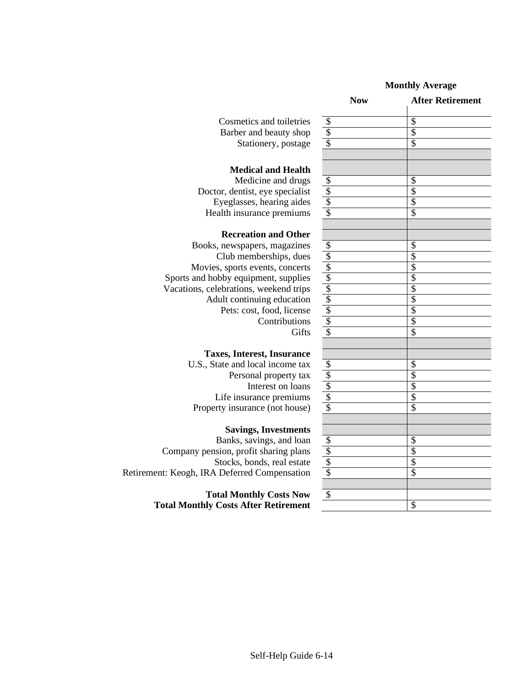#### **Monthly Average**

| Cosmetics and toiletries |
|--------------------------|
| Barber and beauty shop   |
| Stationery, postage      |

#### **Medical and Health**

Medicine and drugs Doctor, dentist, eye specialist Eyeglasses, hearing aides \$ \$ Health insurance premiums

#### **Recreation and Other**

Books, newspapers, magazines Club memberships, dues Movies, sports events, concerts Sports and hobby equipment, supplies Vacations, celebrations, weekend trips Adult continuing education \$ \$ Pets: cost, food, license **Contributions** Gifts

#### **Taxes, Interest, Insurance**

U.S., State and local income tax Personal property tax Interest on loans Life insurance premiums Property insurance (not house)

#### **Savings, Investments**

Banks, savings, and loan Company pension, profit sharing plans Stocks, bonds, real estate Retirement: Keogh, IRA Deferred Compensation

> **Total Monthly Costs Now Total Monthly Costs After Retirement** \$

|                               | <b>Now</b>                                                                                                                    | <b>After Retirement</b>  |
|-------------------------------|-------------------------------------------------------------------------------------------------------------------------------|--------------------------|
| Cosmetics and toiletries      | $\overline{\mathcal{E}}$                                                                                                      | $\overline{\$}$          |
| Barber and beauty shop        |                                                                                                                               | $\overline{\$}$          |
| Stationery, postage           | $\frac{1}{3}$                                                                                                                 | $\overline{\mathcal{S}}$ |
| <b>Medical and Health</b>     |                                                                                                                               |                          |
| Medicine and drugs            |                                                                                                                               | \$                       |
| or, dentist, eye specialist   | $\frac{3}{3}$                                                                                                                 | \$                       |
| yeglasses, hearing aides      |                                                                                                                               | $\overline{\$}$          |
| alth insurance premiums       |                                                                                                                               | \$                       |
| <b>Recreation and Other</b>   |                                                                                                                               |                          |
| newspapers, magazines         |                                                                                                                               | $\overline{\mathcal{S}}$ |
| Club memberships, dues        |                                                                                                                               | \$                       |
| sports events, concerts       |                                                                                                                               | \$                       |
| bby equipment, supplies       |                                                                                                                               | \$                       |
| ebrations, weekend trips      |                                                                                                                               | \$                       |
| ult continuing education      | $\frac{1}{2}$ $\frac{1}{2}$ $\frac{1}{2}$ $\frac{1}{2}$ $\frac{1}{2}$ $\frac{1}{2}$ $\frac{1}{2}$ $\frac{1}{2}$ $\frac{1}{2}$ | \$                       |
| Pets: cost, food, license     |                                                                                                                               | $\overline{\$}$          |
| Contributions                 |                                                                                                                               | \$                       |
| Gifts                         | \$                                                                                                                            | $\overline{\mathcal{S}}$ |
| ces, Interest, Insurance      |                                                                                                                               |                          |
| ate and local income tax      |                                                                                                                               |                          |
| Personal property tax         |                                                                                                                               | $\frac{\$}{\$}$          |
| Interest on loans             | $\frac{18}{3}$<br>$\frac{18}{3}$                                                                                              | \$                       |
| ife insurance premiums        |                                                                                                                               | $\overline{\$}$          |
| ty insurance (not house)      |                                                                                                                               | $\overline{\mathcal{S}}$ |
| <b>Savings, Investments</b>   |                                                                                                                               |                          |
| Banks, savings, and loan      |                                                                                                                               | \$                       |
| ion, profit sharing plans     |                                                                                                                               | \$                       |
| tocks, bonds, real estate     | $rac{5}{3}$                                                                                                                   | \$                       |
| <b>Deferred Compensation</b>  |                                                                                                                               | \$                       |
|                               |                                                                                                                               |                          |
| al Monthly Costs Now          | \$                                                                                                                            |                          |
| <b>Costs After Retirement</b> |                                                                                                                               | $\overline{\mathbb{S}}$  |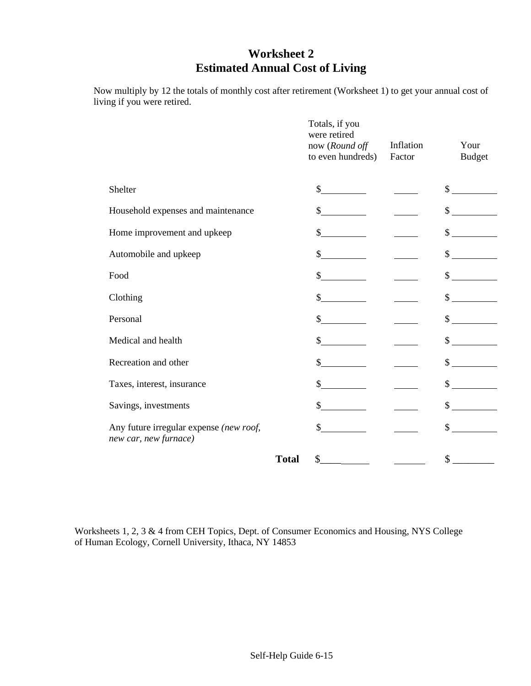### **Worksheet 2 Estimated Annual Cost of Living**

Now multiply by 12 the totals of monthly cost after retirement (Worksheet 1) to get your annual cost of living if you were retired.

|                                                                  |              | Totals, if you<br>were retired<br>now (Round off<br>to even hundreds) | Inflation<br>Factor | Your<br><b>Budget</b> |
|------------------------------------------------------------------|--------------|-----------------------------------------------------------------------|---------------------|-----------------------|
| Shelter                                                          |              | $\sim$                                                                |                     | $\frac{1}{2}$         |
| Household expenses and maintenance                               |              | \$                                                                    |                     | \$                    |
| Home improvement and upkeep                                      |              | \$                                                                    |                     | \$                    |
| Automobile and upkeep                                            |              | \$                                                                    |                     | $\mathbb{S}^-$        |
| Food                                                             |              | \$                                                                    |                     | \$                    |
| Clothing                                                         |              | \$                                                                    |                     | \$                    |
| Personal                                                         |              | \$                                                                    |                     | \$                    |
| Medical and health                                               |              | \$                                                                    |                     | \$                    |
| Recreation and other                                             |              | \$                                                                    |                     | \$                    |
| Taxes, interest, insurance                                       |              | \$                                                                    |                     | \$                    |
| Savings, investments                                             |              | $\sim$                                                                |                     | $\mathbb{S}$          |
| Any future irregular expense (new roof,<br>new car, new furnace) |              | \$                                                                    |                     | \$                    |
|                                                                  | <b>Total</b> | $\mathbb{S}$                                                          |                     | \$                    |

Worksheets 1, 2, 3 & 4 from CEH Topics, Dept. of Consumer Economics and Housing, NYS College of Human Ecology, Cornell University, Ithaca, NY 14853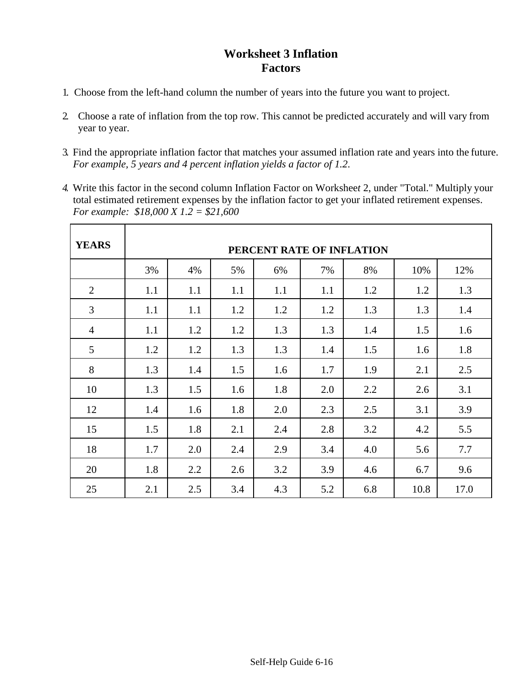### **Worksheet 3 Inflation Factors**

- 1. Choose from the left-hand column the number of years into the future you want to project.
- 2. Choose a rate of inflation from the top row. This cannot be predicted accurately and will vary from year to year.
- 3. Find the appropriate inflation factor that matches your assumed inflation rate and years into the future. *For example, 5 years and 4 percent inflation yields a factor of 1.2*.
- *4.* Write this factor in the second column Inflation Factor on Workshee*t* 2, under "Total." Multiply your total estimated retirement expenses by the inflation factor to get your inflated retirement expenses. *For example: \$18,000 X 1.2 = \$21,600*

| <b>YEARS</b>   | PERCENT RATE OF INFLATION |     |     |     |     |     |      |      |  |  |
|----------------|---------------------------|-----|-----|-----|-----|-----|------|------|--|--|
|                | 3%                        | 4%  | 5%  | 6%  | 7%  | 8%  | 10%  | 12%  |  |  |
| $\overline{2}$ | 1.1                       | 1.1 | 1.1 | 1.1 | 1.1 | 1.2 | 1.2  | 1.3  |  |  |
| 3              | 1.1                       | 1.1 | 1.2 | 1.2 | 1.2 | 1.3 | 1.3  | 1.4  |  |  |
| $\overline{4}$ | 1.1                       | 1.2 | 1.2 | 1.3 | 1.3 | 1.4 | 1.5  | 1.6  |  |  |
| 5              | 1.2                       | 1.2 | 1.3 | 1.3 | 1.4 | 1.5 | 1.6  | 1.8  |  |  |
| 8              | 1.3                       | 1.4 | 1.5 | 1.6 | 1.7 | 1.9 | 2.1  | 2.5  |  |  |
| 10             | 1.3                       | 1.5 | 1.6 | 1.8 | 2.0 | 2.2 | 2.6  | 3.1  |  |  |
| 12             | 1.4                       | 1.6 | 1.8 | 2.0 | 2.3 | 2.5 | 3.1  | 3.9  |  |  |
| 15             | 1.5                       | 1.8 | 2.1 | 2.4 | 2.8 | 3.2 | 4.2  | 5.5  |  |  |
| 18             | 1.7                       | 2.0 | 2.4 | 2.9 | 3.4 | 4.0 | 5.6  | 7.7  |  |  |
| 20             | 1.8                       | 2.2 | 2.6 | 3.2 | 3.9 | 4.6 | 6.7  | 9.6  |  |  |
| 25             | 2.1                       | 2.5 | 3.4 | 4.3 | 5.2 | 6.8 | 10.8 | 17.0 |  |  |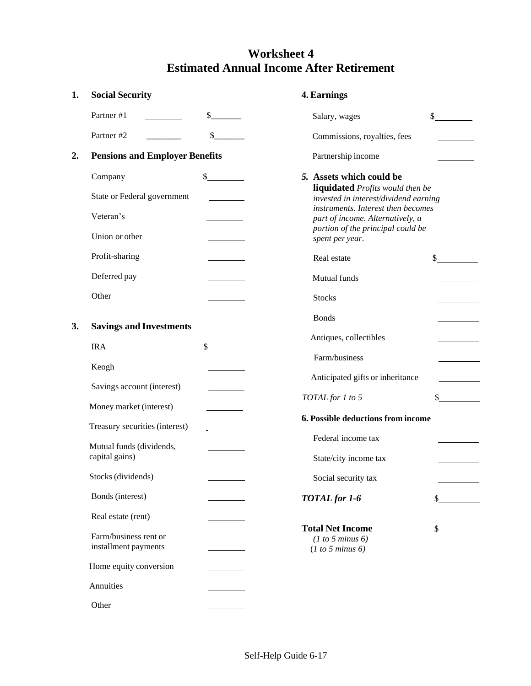### **Worksheet 4 Estimated Annual Income After Retirement**

| 1. | <b>Social Security</b>                        |                                                                                                                                                                                                                                      | 4. Earnings                                                               |    |
|----|-----------------------------------------------|--------------------------------------------------------------------------------------------------------------------------------------------------------------------------------------------------------------------------------------|---------------------------------------------------------------------------|----|
|    | Partner #1                                    | \$                                                                                                                                                                                                                                   | Salary, wages                                                             | \$ |
|    | Partner #2                                    | $\sim$                                                                                                                                                                                                                               | Commissions, royalties, fees                                              |    |
| 2. | <b>Pensions and Employer Benefits</b>         |                                                                                                                                                                                                                                      | Partnership income                                                        |    |
|    | Company                                       | $\frac{1}{2}$                                                                                                                                                                                                                        | 5. Assets which could be                                                  |    |
|    | State or Federal government                   |                                                                                                                                                                                                                                      | liquidated Profits would then be<br>invested in interest/dividend earning |    |
|    | Veteran's                                     | <u> The Communication of the Communication of the Communication of the Communication of the Communication of the Communication of the Communication of the Communication of the Communication of the Communication of the Commun</u> | instruments. Interest then becomes<br>part of income. Alternatively, a    |    |
|    | Union or other                                |                                                                                                                                                                                                                                      | portion of the principal could be<br>spent per year.                      |    |
|    | Profit-sharing                                | $\overline{\phantom{a}}$ . The state of $\overline{\phantom{a}}$                                                                                                                                                                     | Real estate                                                               | \$ |
|    | Deferred pay                                  | <u>and the state of the state</u>                                                                                                                                                                                                    | Mutual funds                                                              |    |
|    | Other                                         |                                                                                                                                                                                                                                      | <b>Stocks</b>                                                             |    |
| 3. | <b>Savings and Investments</b>                |                                                                                                                                                                                                                                      | <b>Bonds</b>                                                              |    |
|    | <b>IRA</b>                                    | \$                                                                                                                                                                                                                                   | Antiques, collectibles                                                    |    |
|    | Keogh                                         |                                                                                                                                                                                                                                      | Farm/business                                                             |    |
|    |                                               |                                                                                                                                                                                                                                      | Anticipated gifts or inheritance                                          |    |
|    | Savings account (interest)                    |                                                                                                                                                                                                                                      | TOTAL for 1 to 5                                                          | \$ |
|    | Money market (interest)                       |                                                                                                                                                                                                                                      | 6. Possible deductions from income                                        |    |
|    | Treasury securities (interest)                |                                                                                                                                                                                                                                      | Federal income tax                                                        |    |
|    | Mutual funds (dividends,<br>capital gains)    |                                                                                                                                                                                                                                      | State/city income tax                                                     |    |
|    | Stocks (dividends)                            |                                                                                                                                                                                                                                      | Social security tax                                                       |    |
|    | Bonds (interest)                              |                                                                                                                                                                                                                                      | <b>TOTAL</b> for 1-6                                                      |    |
|    | Real estate (rent)                            |                                                                                                                                                                                                                                      |                                                                           |    |
|    | Farm/business rent or<br>installment payments |                                                                                                                                                                                                                                      | <b>Total Net Income</b><br>(1 to 5 minus 6)<br>(1 to 5 minus 6)           |    |
|    | Home equity conversion                        |                                                                                                                                                                                                                                      |                                                                           |    |
|    | Annuities                                     |                                                                                                                                                                                                                                      |                                                                           |    |
|    | Other                                         |                                                                                                                                                                                                                                      |                                                                           |    |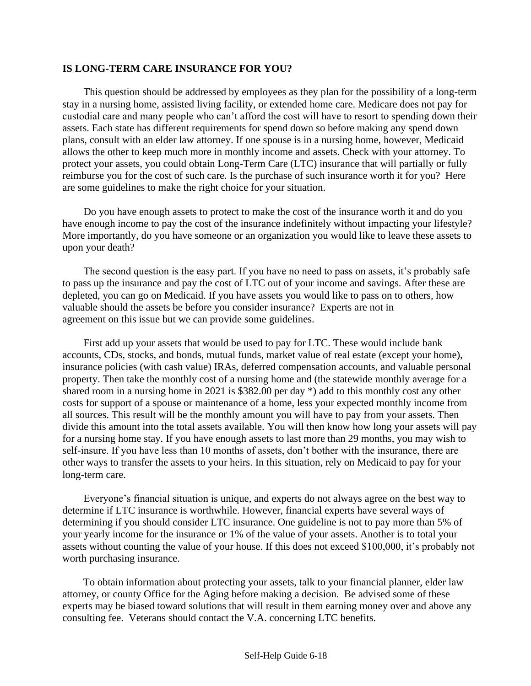#### **IS LONG-TERM CARE INSURANCE FOR YOU?**

This question should be addressed by employees as they plan for the possibility of a long-term stay in a nursing home, assisted living facility, or extended home care. Medicare does not pay for custodial care and many people who can't afford the cost will have to resort to spending down their assets. Each state has different requirements for spend down so before making any spend down plans, consult with an elder law attorney. If one spouse is in a nursing home, however, Medicaid allows the other to keep much more in monthly income and assets. Check with your attorney. To protect your assets, you could obtain Long-Term Care (LTC) insurance that will partially or fully reimburse you for the cost of such care. Is the purchase of such insurance worth it for you? Here are some guidelines to make the right choice for your situation.

Do you have enough assets to protect to make the cost of the insurance worth it and do you have enough income to pay the cost of the insurance indefinitely without impacting your lifestyle? More importantly, do you have someone or an organization you would like to leave these assets to upon your death?

The second question is the easy part. If you have no need to pass on assets, it's probably safe to pass up the insurance and pay the cost of LTC out of your income and savings. After these are depleted, you can go on Medicaid. If you have assets you would like to pass on to others, how valuable should the assets be before you consider insurance? Experts are not in agreement on this issue but we can provide some guidelines.

First add up your assets that would be used to pay for LTC. These would include bank accounts, CDs, stocks, and bonds, mutual funds, market value of real estate (except your home), insurance policies (with cash value) IRAs, deferred compensation accounts, and valuable personal property. Then take the monthly cost of a nursing home and (the statewide monthly average for a shared room in a nursing home in 2021 is \$382.00 per day \*) add to this monthly cost any other costs for support of a spouse or maintenance of a home, less your expected monthly income from all sources. This result will be the monthly amount you will have to pay from your assets. Then divide this amount into the total assets available. You will then know how long your assets will pay for a nursing home stay. If you have enough assets to last more than 29 months, you may wish to self-insure. If you have less than 10 months of assets, don't bother with the insurance, there are other ways to transfer the assets to your heirs. In this situation, rely on Medicaid to pay for your long-term care.

Everyone's financial situation is unique, and experts do not always agree on the best way to determine if LTC insurance is worthwhile. However, financial experts have several ways of determining if you should consider LTC insurance. One guideline is not to pay more than 5% of your yearly income for the insurance or 1% of the value of your assets. Another is to total your assets without counting the value of your house. If this does not exceed \$100,000, it's probably not worth purchasing insurance.

 To obtain information about protecting your assets, talk to your financial planner, elder law attorney, or county Office for the Aging before making a decision. Be advised some of these experts may be biased toward solutions that will result in them earning money over and above any consulting fee. Veterans should contact the V.A. concerning LTC benefits.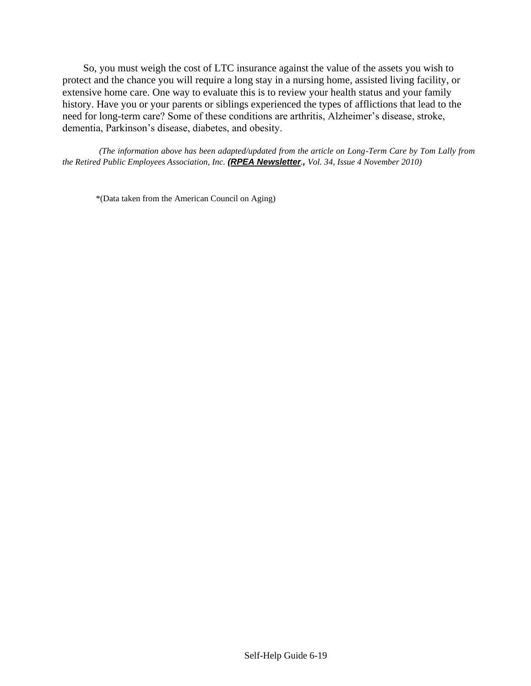So, you must weigh the cost of LTC insurance against the value of the assets you wish to protect and the chance you will require a long stay in a nursing home, assisted living facility, or extensive home care. One way to evaluate this is to review your health status and your family history. Have you or your parents or siblings experienced the types of afflictions that lead to the need for long-term care? Some of these conditions are arthritis, Alzheimer's disease, stroke, dementia, Parkinson's disease, diabetes, and obesity.

*(The information above has been adapted/updated from the article on Long-Term Care by Tom Lally from the Retired Public Employees Association, Inc. (RPEA Newsletter., Vol. 34, Issue 4 November 2010)*

\*(Data taken from the American Council on Aging)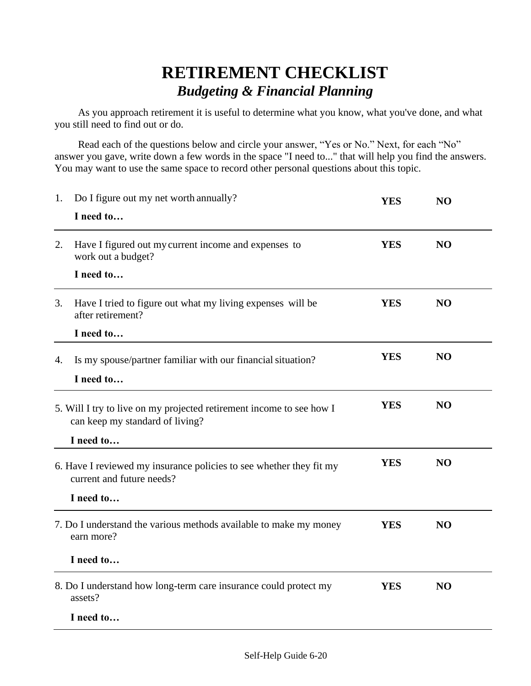## **RETIREMENT CHECKLIST**  *Budgeting & Financial Planning*

As you approach retirement it is useful to determine what you know, what you've done, and what you still need to find out or do.

Read each of the questions below and circle your answer, "Yes or No." Next, for each "No" answer you gave, write down a few words in the space "I need to..." that will help you find the answers. You may want to use the same space to record other personal questions about this topic.

| 1.                                                                                               | Do I figure out my net worth annually?                                                                  | <b>YES</b> | NO             |  |
|--------------------------------------------------------------------------------------------------|---------------------------------------------------------------------------------------------------------|------------|----------------|--|
|                                                                                                  | I need to                                                                                               |            |                |  |
| 2.                                                                                               | Have I figured out my current income and expenses to<br>work out a budget?                              | <b>YES</b> | NO             |  |
|                                                                                                  | I need to                                                                                               |            |                |  |
| 3.                                                                                               | Have I tried to figure out what my living expenses will be<br>after retirement?                         | <b>YES</b> | NO             |  |
|                                                                                                  | I need to                                                                                               |            |                |  |
| 4.                                                                                               | Is my spouse/partner familiar with our financial situation?                                             | <b>YES</b> | NO             |  |
|                                                                                                  | I need to                                                                                               |            |                |  |
|                                                                                                  | 5. Will I try to live on my projected retirement income to see how I<br>can keep my standard of living? | <b>YES</b> | N <sub>O</sub> |  |
|                                                                                                  | I need to                                                                                               |            |                |  |
| 6. Have I reviewed my insurance policies to see whether they fit my<br>current and future needs? |                                                                                                         | <b>YES</b> | N <sub>O</sub> |  |
|                                                                                                  | I need to                                                                                               |            |                |  |
| 7. Do I understand the various methods available to make my money<br>earn more?                  |                                                                                                         | <b>YES</b> | NO             |  |
|                                                                                                  | I need to                                                                                               |            |                |  |
| 8. Do I understand how long-term care insurance could protect my<br>assets?                      |                                                                                                         | <b>YES</b> | NO             |  |
|                                                                                                  | I need to                                                                                               |            |                |  |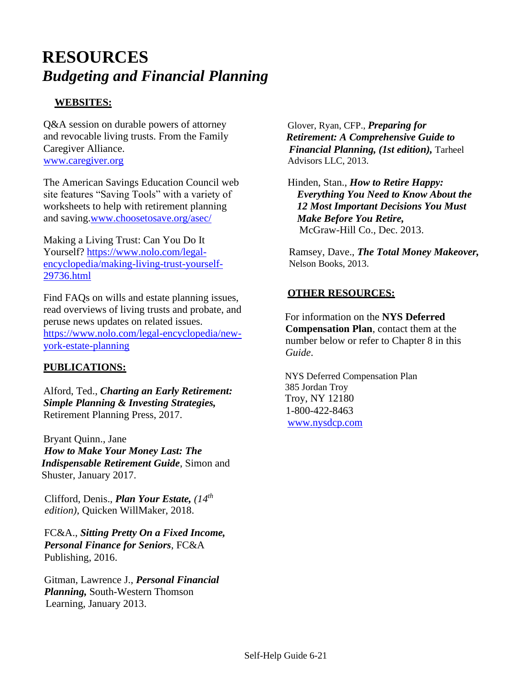# **RESOURCES** *Budgeting and Financial Planning*

### **WEBSITES:**

Q&A session on durable powers of attorney and revocable living trusts. From the Family Caregiver Alliance. [www.caregiver.org](http://www.caregiver.org/)

The American Savings Education Council web site features "Saving Tools" with a variety of worksheets to help with retirement planning and saving[.www.choosetosave.org/asec/](http://www.choosetosave.org/asec/)

Making a Living Trust: Can You Do It Yourself? [https://www.nolo.com/legal](https://www.nolo.com/legal-encyclopedia/making-living-trust-yourself-29736.html)[encyclopedia/making-living-trust-yourself-](https://www.nolo.com/legal-encyclopedia/making-living-trust-yourself-29736.html)[29736.html](https://www.nolo.com/legal-encyclopedia/making-living-trust-yourself-29736.html)

Find FAQs on wills and estate planning issues, read overviews of living trusts and probate, and peruse news updates on related issues. [https://www.nolo.com/legal-encyclopedia/new](https://www.nolo.com/legal-encyclopedia/new-york-estate-planning)[york-estate-planning](https://www.nolo.com/legal-encyclopedia/new-york-estate-planning)

### **PUBLICATIONS:**

Alford, Ted., *Charting an Early Retirement: Simple Planning & Investing Strategies,*  Retirement Planning Press, 2017.

Bryant Quinn., Jane  *How to Make Your Money Last: The Indispensable Retirement Guide*, Simon and Shuster, January 2017.

Clifford, Denis., *Plan Your Estate, (14 th edition),* Quicken WillMaker, 2018.

 FC&A., *Sitting Pretty On a Fixed Income, Personal Finance for Seniors*, FC&A Publishing, 2016.

 Gitman, Lawrence J., *Personal Financial Planning,* South-Western Thomson Learning, January 2013.

 Glover, Ryan, CFP., *Preparing for Retirement: A Comprehensive Guide to Financial Planning, (1st edition),* Tarheel Advisors LLC, 2013.

Hinden, Stan., *How to Retire Happy: Everything You Need to Know About the 12 Most Important Decisions You Must Make Before You Retire,* McGraw-Hill Co., Dec. 2013.

Ramsey, Dave., *The Total Money Makeover,* Nelson Books, 2013.

### **OTHER RESOURCES:**

For information on the **NYS Deferred Compensation Plan**, contact them at the number below or refer to Chapter 8 in this *Guide*.

NYS Deferred Compensation Plan 385 Jordan Troy Troy, NY 12180 1-800-422-8463 [www.nysdcp.com](http://www.nysdcp.com/)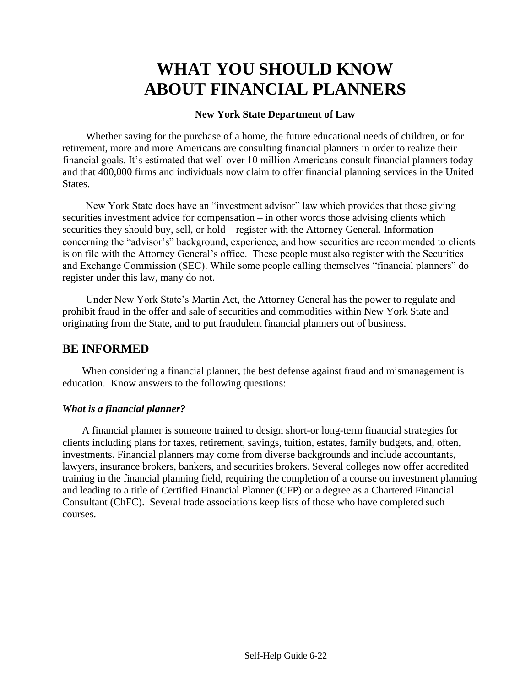# **WHAT YOU SHOULD KNOW ABOUT FINANCIAL PLANNERS**

### **New York State Department of Law**

Whether saving for the purchase of a home, the future educational needs of children, or for retirement, more and more Americans are consulting financial planners in order to realize their financial goals. It's estimated that well over 10 million Americans consult financial planners today and that 400,000 firms and individuals now claim to offer financial planning services in the United States.

New York State does have an "investment advisor" law which provides that those giving securities investment advice for compensation – in other words those advising clients which securities they should buy, sell, or hold – register with the Attorney General. Information concerning the "advisor's" background, experience, and how securities are recommended to clients is on file with the Attorney General's office. These people must also register with the Securities and Exchange Commission (SEC). While some people calling themselves "financial planners" do register under this law, many do not.

Under New York State's Martin Act, the Attorney General has the power to regulate and prohibit fraud in the offer and sale of securities and commodities within New York State and originating from the State, and to put fraudulent financial planners out of business.

### **BE INFORMED**

When considering a financial planner, the best defense against fraud and mismanagement is education. Know answers to the following questions:

### *What is a financial planner?*

A financial planner is someone trained to design short-or long-term financial strategies for clients including plans for taxes, retirement, savings, tuition, estates, family budgets, and, often, investments. Financial planners may come from diverse backgrounds and include accountants, lawyers, insurance brokers, bankers, and securities brokers. Several colleges now offer accredited training in the financial planning field, requiring the completion of a course on investment planning and leading to a title of Certified Financial Planner (CFP) or a degree as a Chartered Financial Consultant (ChFC). Several trade associations keep lists of those who have completed such courses.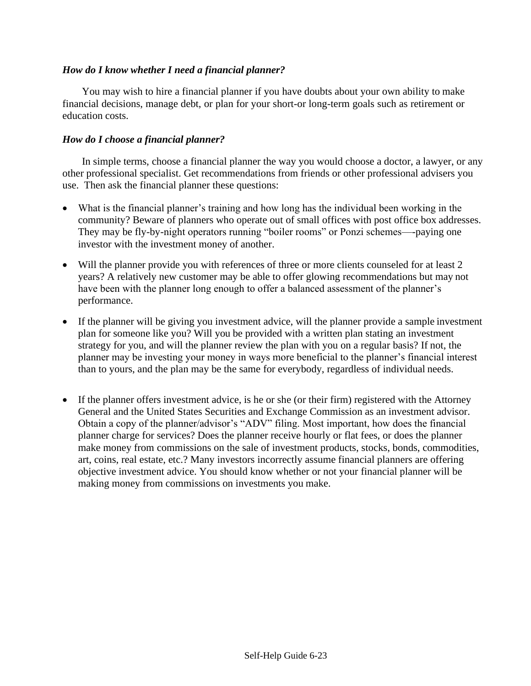### *How do I know whether I need a financial planner?*

You may wish to hire a financial planner if you have doubts about your own ability to make financial decisions, manage debt, or plan for your short-or long-term goals such as retirement or education costs.

#### *How do I choose a financial planner?*

In simple terms, choose a financial planner the way you would choose a doctor, a lawyer, or any other professional specialist. Get recommendations from friends or other professional advisers you use. Then ask the financial planner these questions:

- What is the financial planner's training and how long has the individual been working in the community? Beware of planners who operate out of small offices with post office box addresses. They may be fly-by-night operators running "boiler rooms" or Ponzi schemes—-paying one investor with the investment money of another.
- Will the planner provide you with references of three or more clients counseled for at least 2 years? A relatively new customer may be able to offer glowing recommendations but may not have been with the planner long enough to offer a balanced assessment of the planner's performance.
- If the planner will be giving you investment advice, will the planner provide a sample investment plan for someone like you? Will you be provided with a written plan stating an investment strategy for you, and will the planner review the plan with you on a regular basis? If not, the planner may be investing your money in ways more beneficial to the planner's financial interest than to yours, and the plan may be the same for everybody, regardless of individual needs.
- If the planner offers investment advice, is he or she (or their firm) registered with the Attorney General and the United States Securities and Exchange Commission as an investment advisor. Obtain a copy of the planner/advisor's "ADV" filing. Most important, how does the financial planner charge for services? Does the planner receive hourly or flat fees, or does the planner make money from commissions on the sale of investment products, stocks, bonds, commodities, art, coins, real estate, etc.? Many investors incorrectly assume financial planners are offering objective investment advice. You should know whether or not your financial planner will be making money from commissions on investments you make.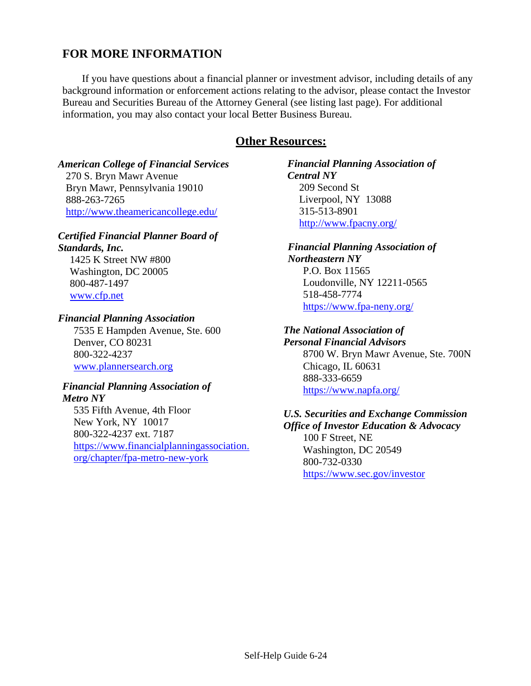### **FOR MORE INFORMATION**

If you have questions about a financial planner or investment advisor, including details of any background information or enforcement actions relating to the advisor, please contact the Investor Bureau and Securities Bureau of the Attorney General (see listing last page). For additional information, you may also contact your local Better Business Bureau.

### **Other Resources:**

### *American College of Financial Services*

270 S. Bryn Mawr Avenue Bryn Mawr, Pennsylvania 19010 888-263-7265 <http://www.theamericancollege.edu/>

#### *Certified Financial Planner Board of Standards, Inc.*

1425 K Street NW #800 Washington, DC 20005 800-487-1497 [www.cfp.net](http://www.cfp.net/)

### *Financial Planning Association*

7535 E Hampden Avenue, Ste. 600 Denver, CO 80231 800-322-4237 [www.plannersearch.org](http://www.plannersearch.org/)

#### *Financial Planning Association of Metro NY*

535 Fifth Avenue, 4th Floor New York, NY 10017 800-322-4237 ext. 7187 [https://www.financialplanningassociation.](https://www.financialplanningassociation.org/chapter/fpa-metro-new-york) [org/chapter/fpa-metro-new-york](https://www.financialplanningassociation.org/chapter/fpa-metro-new-york)

*Financial Planning Association of Central NY* 209 Second St Liverpool, NY 13088 315-513-8901 <http://www.fpacny.org/>

### *Financial Planning Association of Northeastern NY* P.O. Box 11565 Loudonville, NY 12211-0565 518-458-7774 <https://www.fpa-neny.org/>

### *The National Association of*

*Personal Financial Advisors* 8700 W. Bryn Mawr Avenue, Ste. 700N Chicago, IL 60631 888-333-6659 <https://www.napfa.org/>

### *U.S. Securities and Exchange Commission Office of Investor Education & Advocacy* 100 F Street, NE Washington, DC 20549 800-732-0330 <https://www.sec.gov/investor>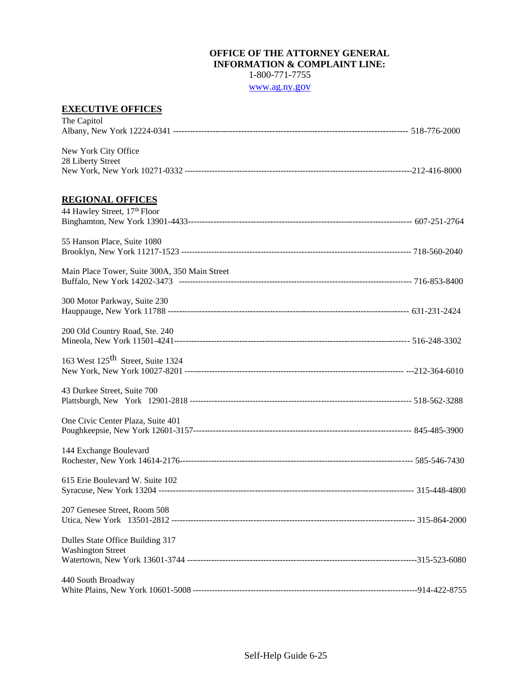#### **OFFICE OF THE ATTORNEY GENERAL INFORMATION & COMPLAINT LINE:** 1-800-771-7755

[www.ag.ny.](https://ag.ny.gov/)go[v](https://ag.ny.gov/)

### **EXECUTIVE OFFICES**

| The Capitol                                                  |  |
|--------------------------------------------------------------|--|
| New York City Office<br>28 Liberty Street                    |  |
| <b>REGIONAL OFFICES</b><br>44 Hawley Street, 17th Floor      |  |
| 55 Hanson Place, Suite 1080                                  |  |
| Main Place Tower, Suite 300A, 350 Main Street                |  |
| 300 Motor Parkway, Suite 230                                 |  |
| 200 Old Country Road, Ste. 240                               |  |
| 163 West 125 <sup>th</sup> Street, Suite 1324                |  |
| 43 Durkee Street, Suite 700                                  |  |
| One Civic Center Plaza, Suite 401                            |  |
| 144 Exchange Boulevard                                       |  |
| 615 Erie Boulevard W. Suite 102                              |  |
| 207 Genesee Street, Room 508                                 |  |
| Dulles State Office Building 317<br><b>Washington Street</b> |  |
| 440 South Broadway                                           |  |